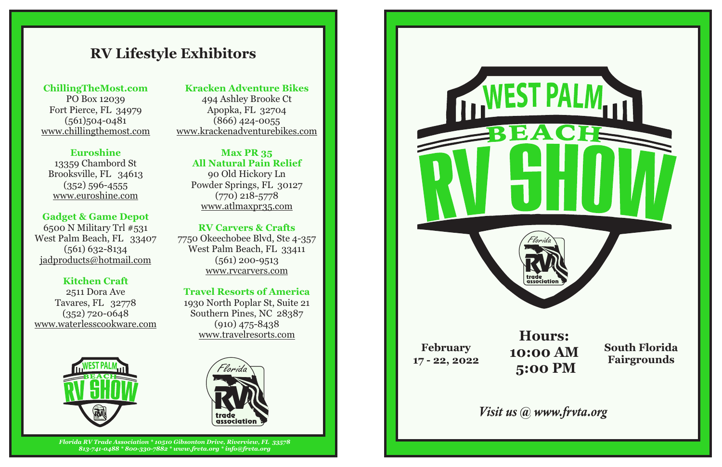### *Florida RV Trade Association \* 10510 Gibsonton Drive, Riverview, FL 33578 813-741-0488 \* 800-330-7882 \* www.frvta.org \* info@frvta.org*

13359 Chambord St Brooksville, FL 34613 www.euroshine.com  $(352)$  596-4555

# **RV Lifestyle Exhibitors**



www.rvcarvers.com 7750 Okeechobee Blvd, Ste 4-357 West Palm Beach, FL 33411  $(561)$  200-9513

## **ChillingTheMost.com**

(561)504-0481 PO Box 12039 Fort Pierce, FL 34979 www.chillingthemost.com

## **Euroshine**

## **Kitchen Craft**

## **RV Carvers & Crafts**

www.waterlesscookware.com 2511 Dora Ave Tavares, FL 32778 (352) 720-0648

## **Gadget & Game Depot**

(561) 632-8134 West Palm Beach, FL 33407 6500 N Military Trl #531 jadproducts@hotmail.com

494 Ashley Brooke Ct www.krackenadventurebikes.com (866) 424-0055 Apopka, FL 32704

## **All Natural Pain Relief Max PR 35**

Powder Springs, FL 30127 (770) 218-5778 90 Old Hickory Ln www.atlmaxpr35.com

## **Travel Resorts of America**

(910) 475-8438 www.travelresorts.com 1930 North Poplar St, Suite 21 Southern Pines, NC 28387

## **Kracken Adventure Bikes**

**South Florida Fairgrounds**